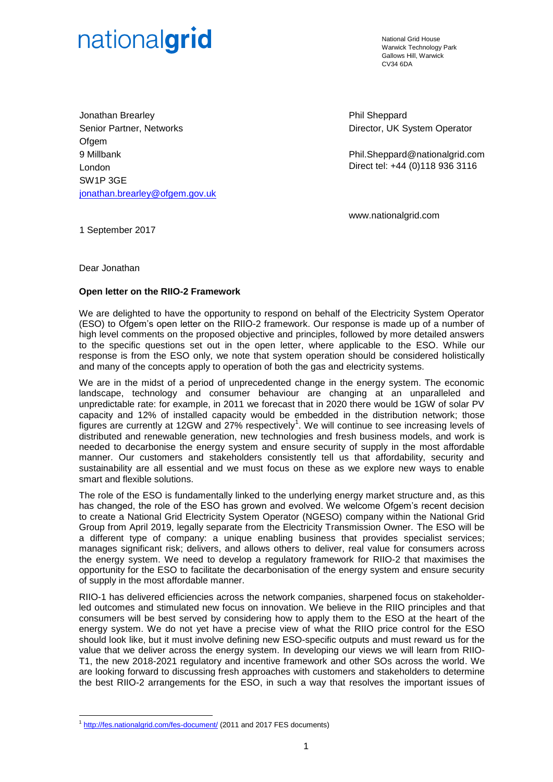nationalgrid

National Grid House Warwick Technology Park Gallows Hill, Warwick  $C<sub>1</sub>1/34$  6DA

Jonathan Brearley Senior Partner, Networks **Ofgem** 9 Millbank London SW1P 3GE [jonathan.brearley@ofgem.gov.uk](mailto:jonathan.brearley@ofgem.gov.uk) Phil Sheppard Director, UK System Operator

Phil.Sheppard@nationalgrid.com Direct tel: +44 (0)118 936 3116

www.nationalgrid.com

1 September 2017

Dear Jonathan

1

# **Open letter on the RIIO-2 Framework**

We are delighted to have the opportunity to respond on behalf of the Electricity System Operator (ESO) to Ofgem's open letter on the RIIO-2 framework. Our response is made up of a number of high level comments on the proposed objective and principles, followed by more detailed answers to the specific questions set out in the open letter, where applicable to the ESO. While our response is from the ESO only, we note that system operation should be considered holistically and many of the concepts apply to operation of both the gas and electricity systems.

We are in the midst of a period of unprecedented change in the energy system. The economic landscape, technology and consumer behaviour are changing at an unparalleled and unpredictable rate: for example, in 2011 we forecast that in 2020 there would be 1GW of solar PV capacity and 12% of installed capacity would be embedded in the distribution network; those figures are currently at 12GW and 27% respectively<sup>1</sup>. We will continue to see increasing levels of distributed and renewable generation, new technologies and fresh business models, and work is needed to decarbonise the energy system and ensure security of supply in the most affordable manner. Our customers and stakeholders consistently tell us that affordability, security and sustainability are all essential and we must focus on these as we explore new ways to enable smart and flexible solutions.

The role of the ESO is fundamentally linked to the underlying energy market structure and, as this has changed, the role of the ESO has grown and evolved. We welcome Ofgem's recent decision to create a National Grid Electricity System Operator (NGESO) company within the National Grid Group from April 2019, legally separate from the Electricity Transmission Owner. The ESO will be a different type of company: a unique enabling business that provides specialist services; manages significant risk; delivers, and allows others to deliver, real value for consumers across the energy system. We need to develop a regulatory framework for RIIO-2 that maximises the opportunity for the ESO to facilitate the decarbonisation of the energy system and ensure security of supply in the most affordable manner.

RIIO-1 has delivered efficiencies across the network companies, sharpened focus on stakeholderled outcomes and stimulated new focus on innovation. We believe in the RIIO principles and that consumers will be best served by considering how to apply them to the ESO at the heart of the energy system. We do not yet have a precise view of what the RIIO price control for the ESO should look like, but it must involve defining new ESO-specific outputs and must reward us for the value that we deliver across the energy system. In developing our views we will learn from RIIO-T1, the new 2018-2021 regulatory and incentive framework and other SOs across the world. We are looking forward to discussing fresh approaches with customers and stakeholders to determine the best RIIO-2 arrangements for the ESO, in such a way that resolves the important issues of

<sup>&</sup>lt;sup>1</sup> <http://fes.nationalgrid.com/fes-document/> (2011 and 2017 FES documents)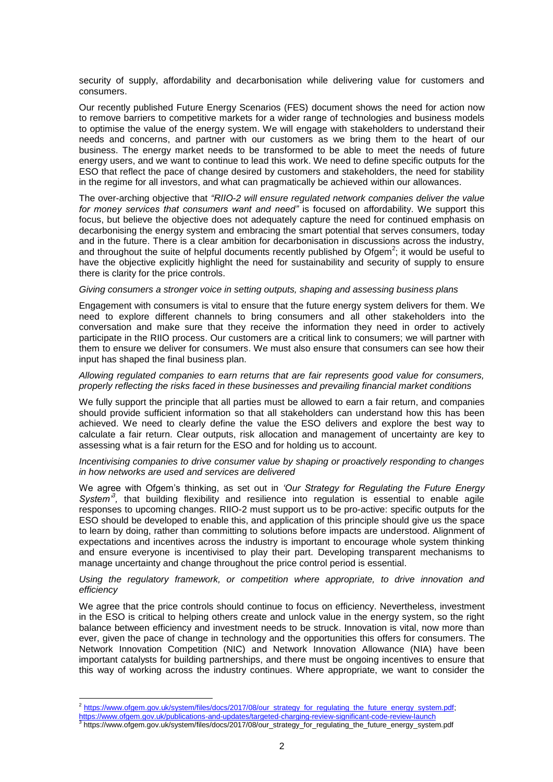security of supply, affordability and decarbonisation while delivering value for customers and consumers.

Our recently published Future Energy Scenarios (FES) document shows the need for action now to remove barriers to competitive markets for a wider range of technologies and business models to optimise the value of the energy system. We will engage with stakeholders to understand their needs and concerns, and partner with our customers as we bring them to the heart of our business. The energy market needs to be transformed to be able to meet the needs of future energy users, and we want to continue to lead this work. We need to define specific outputs for the ESO that reflect the pace of change desired by customers and stakeholders, the need for stability in the regime for all investors, and what can pragmatically be achieved within our allowances.

The over-arching objective that *"RIIO-2 will ensure regulated network companies deliver the value for money services that consumers want and need"* is focused on affordability. We support this focus, but believe the objective does not adequately capture the need for continued emphasis on decarbonising the energy system and embracing the smart potential that serves consumers, today and in the future. There is a clear ambition for decarbonisation in discussions across the industry, and throughout the suite of helpful documents recently published by Ofgem<sup>2</sup>; it would be useful to have the objective explicitly highlight the need for sustainability and security of supply to ensure there is clarity for the price controls.

#### *Giving consumers a stronger voice in setting outputs, shaping and assessing business plans*

Engagement with consumers is vital to ensure that the future energy system delivers for them. We need to explore different channels to bring consumers and all other stakeholders into the conversation and make sure that they receive the information they need in order to actively participate in the RIIO process. Our customers are a critical link to consumers; we will partner with them to ensure we deliver for consumers. We must also ensure that consumers can see how their input has shaped the final business plan.

#### *Allowing regulated companies to earn returns that are fair represents good value for consumers, properly reflecting the risks faced in these businesses and prevailing financial market conditions*

We fully support the principle that all parties must be allowed to earn a fair return, and companies should provide sufficient information so that all stakeholders can understand how this has been achieved. We need to clearly define the value the ESO delivers and explore the best way to calculate a fair return. Clear outputs, risk allocation and management of uncertainty are key to assessing what is a fair return for the ESO and for holding us to account.

#### *Incentivising companies to drive consumer value by shaping or proactively responding to changes in how networks are used and services are delivered*

We agree with Ofgem's thinking, as set out in *'Our Strategy for Regulating the Future Energy*  System<sup>3</sup>, that building flexibility and resilience into regulation is essential to enable agile responses to upcoming changes. RIIO-2 must support us to be pro-active: specific outputs for the ESO should be developed to enable this, and application of this principle should give us the space to learn by doing, rather than committing to solutions before impacts are understood. Alignment of expectations and incentives across the industry is important to encourage whole system thinking and ensure everyone is incentivised to play their part. Developing transparent mechanisms to manage uncertainty and change throughout the price control period is essential.

### *Using the regulatory framework, or competition where appropriate, to drive innovation and efficiency*

We agree that the price controls should continue to focus on efficiency. Nevertheless, investment in the ESO is critical to helping others create and unlock value in the energy system, so the right balance between efficiency and investment needs to be struck. Innovation is vital, now more than ever, given the pace of change in technology and the opportunities this offers for consumers. The Network Innovation Competition (NIC) and Network Innovation Allowance (NIA) have been important catalysts for building partnerships, and there must be ongoing incentives to ensure that this way of working across the industry continues. Where appropriate, we want to consider the

 2 [https://www.ofgem.gov.uk/system/files/docs/2017/08/our\\_strategy\\_for\\_regulating\\_the\\_future\\_energy\\_system.pdf;](https://www.ofgem.gov.uk/system/files/docs/2017/08/our_strategy_for_regulating_the_future_energy_system.pdf)

<https://www.ofgem.gov.uk/publications-and-updates/targeted-charging-review-significant-code-review-launch> 3 https://www.ofgem.gov.uk/system/files/docs/2017/08/our\_strategy\_for\_regulating\_the\_future\_energy\_system.pdf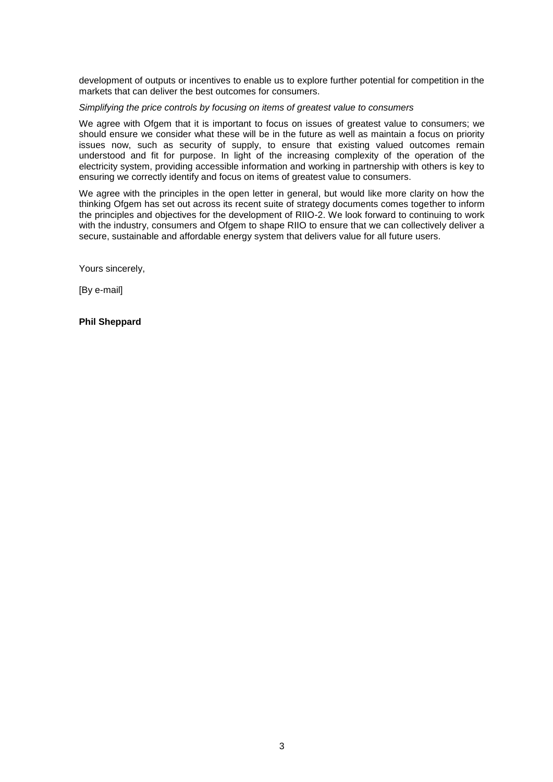development of outputs or incentives to enable us to explore further potential for competition in the markets that can deliver the best outcomes for consumers.

## *Simplifying the price controls by focusing on items of greatest value to consumers*

We agree with Ofgem that it is important to focus on issues of greatest value to consumers; we should ensure we consider what these will be in the future as well as maintain a focus on priority issues now, such as security of supply, to ensure that existing valued outcomes remain understood and fit for purpose. In light of the increasing complexity of the operation of the electricity system, providing accessible information and working in partnership with others is key to ensuring we correctly identify and focus on items of greatest value to consumers.

We agree with the principles in the open letter in general, but would like more clarity on how the thinking Ofgem has set out across its recent suite of strategy documents comes together to inform the principles and objectives for the development of RIIO-2. We look forward to continuing to work with the industry, consumers and Ofgem to shape RIIO to ensure that we can collectively deliver a secure, sustainable and affordable energy system that delivers value for all future users.

Yours sincerely,

[By e-mail]

**Phil Sheppard**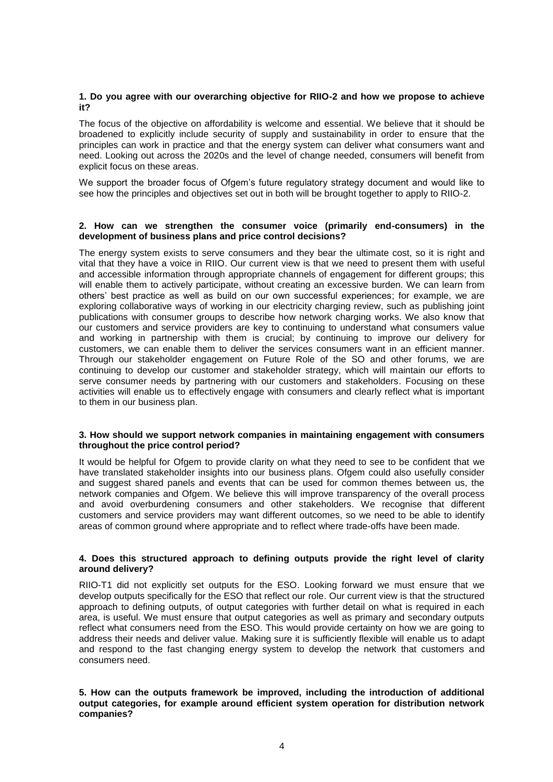# **1. Do you agree with our overarching objective for RIIO-2 and how we propose to achieve it?**

The focus of the objective on affordability is welcome and essential. We believe that it should be broadened to explicitly include security of supply and sustainability in order to ensure that the principles can work in practice and that the energy system can deliver what consumers want and need. Looking out across the 2020s and the level of change needed, consumers will benefit from explicit focus on these areas.

We support the broader focus of Ofgem's future regulatory strategy document and would like to see how the principles and objectives set out in both will be brought together to apply to RIIO-2.

### **2. How can we strengthen the consumer voice (primarily end-consumers) in the development of business plans and price control decisions?**

The energy system exists to serve consumers and they bear the ultimate cost, so it is right and vital that they have a voice in RIIO. Our current view is that we need to present them with useful and accessible information through appropriate channels of engagement for different groups; this will enable them to actively participate, without creating an excessive burden. We can learn from others' best practice as well as build on our own successful experiences; for example, we are exploring collaborative ways of working in our electricity charging review, such as publishing joint publications with consumer groups to describe how network charging works. We also know that our customers and service providers are key to continuing to understand what consumers value and working in partnership with them is crucial; by continuing to improve our delivery for customers, we can enable them to deliver the services consumers want in an efficient manner. Through our stakeholder engagement on Future Role of the SO and other forums, we are continuing to develop our customer and stakeholder strategy, which will maintain our efforts to serve consumer needs by partnering with our customers and stakeholders. Focusing on these activities will enable us to effectively engage with consumers and clearly reflect what is important to them in our business plan.

## **3. How should we support network companies in maintaining engagement with consumers throughout the price control period?**

It would be helpful for Ofgem to provide clarity on what they need to see to be confident that we have translated stakeholder insights into our business plans. Ofgem could also usefully consider and suggest shared panels and events that can be used for common themes between us, the network companies and Ofgem. We believe this will improve transparency of the overall process and avoid overburdening consumers and other stakeholders. We recognise that different customers and service providers may want different outcomes, so we need to be able to identify areas of common ground where appropriate and to reflect where trade-offs have been made.

# **4. Does this structured approach to defining outputs provide the right level of clarity around delivery?**

RIIO-T1 did not explicitly set outputs for the ESO. Looking forward we must ensure that we develop outputs specifically for the ESO that reflect our role. Our current view is that the structured approach to defining outputs, of output categories with further detail on what is required in each area, is useful. We must ensure that output categories as well as primary and secondary outputs reflect what consumers need from the ESO. This would provide certainty on how we are going to address their needs and deliver value. Making sure it is sufficiently flexible will enable us to adapt and respond to the fast changing energy system to develop the network that customers and consumers need.

**5. How can the outputs framework be improved, including the introduction of additional output categories, for example around efficient system operation for distribution network companies?**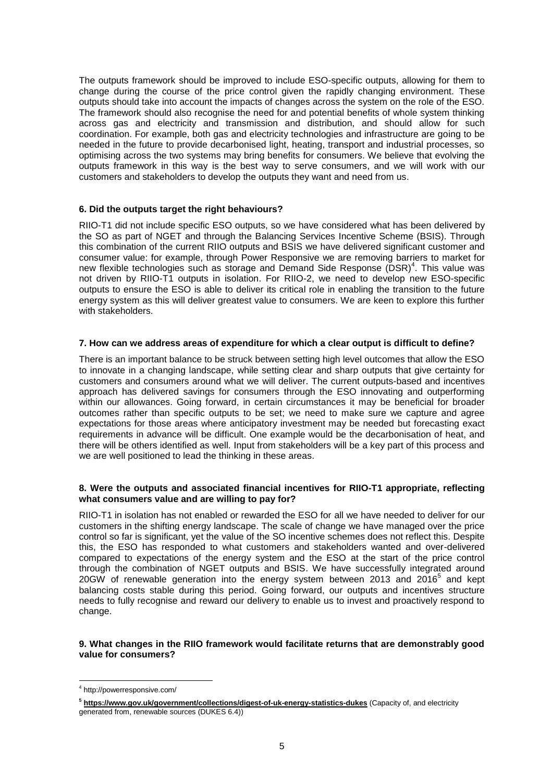The outputs framework should be improved to include ESO-specific outputs, allowing for them to change during the course of the price control given the rapidly changing environment. These outputs should take into account the impacts of changes across the system on the role of the ESO. The framework should also recognise the need for and potential benefits of whole system thinking across gas and electricity and transmission and distribution, and should allow for such coordination. For example, both gas and electricity technologies and infrastructure are going to be needed in the future to provide decarbonised light, heating, transport and industrial processes, so optimising across the two systems may bring benefits for consumers. We believe that evolving the outputs framework in this way is the best way to serve consumers, and we will work with our customers and stakeholders to develop the outputs they want and need from us.

# **6. Did the outputs target the right behaviours?**

RIIO-T1 did not include specific ESO outputs, so we have considered what has been delivered by the SO as part of NGET and through the Balancing Services Incentive Scheme (BSIS). Through this combination of the current RIIO outputs and BSIS we have delivered significant customer and consumer value: for example, through Power Responsive we are removing barriers to market for new flexible technologies such as storage and Demand Side Response (DSR)<sup>4</sup>. This value was not driven by RIIO-T1 outputs in isolation. For RIIO-2, we need to develop new ESO-specific outputs to ensure the ESO is able to deliver its critical role in enabling the transition to the future energy system as this will deliver greatest value to consumers. We are keen to explore this further with stakeholders.

#### **7. How can we address areas of expenditure for which a clear output is difficult to define?**

There is an important balance to be struck between setting high level outcomes that allow the ESO to innovate in a changing landscape, while setting clear and sharp outputs that give certainty for customers and consumers around what we will deliver. The current outputs-based and incentives approach has delivered savings for consumers through the ESO innovating and outperforming within our allowances. Going forward, in certain circumstances it may be beneficial for broader outcomes rather than specific outputs to be set; we need to make sure we capture and agree expectations for those areas where anticipatory investment may be needed but forecasting exact requirements in advance will be difficult. One example would be the decarbonisation of heat, and there will be others identified as well. Input from stakeholders will be a key part of this process and we are well positioned to lead the thinking in these areas.

#### **8. Were the outputs and associated financial incentives for RIIO-T1 appropriate, reflecting what consumers value and are willing to pay for?**

RIIO-T1 in isolation has not enabled or rewarded the ESO for all we have needed to deliver for our customers in the shifting energy landscape. The scale of change we have managed over the price control so far is significant, yet the value of the SO incentive schemes does not reflect this. Despite this, the ESO has responded to what customers and stakeholders wanted and over-delivered compared to expectations of the energy system and the ESO at the start of the price control through the combination of NGET outputs and BSIS. We have successfully integrated around 20GW of renewable generation into the energy system between 2013 and 2016 $^5$  and kept balancing costs stable during this period. Going forward, our outputs and incentives structure needs to fully recognise and reward our delivery to enable us to invest and proactively respond to change.

## **9. What changes in the RIIO framework would facilitate returns that are demonstrably good value for consumers?**

<u>.</u>

<sup>4</sup> http://powerresponsive.com/

**<sup>5</sup> <https://www.gov.uk/government/collections/digest-of-uk-energy-statistics-dukes>** [\(Capacity of, and electricity](https://www.gov.uk/government/uploads/system/uploads/attachment_data/file/632547/DUKES_6.4.xls)  [generated from, renewable sources \(DUKES 6.4\)\)](https://www.gov.uk/government/uploads/system/uploads/attachment_data/file/632547/DUKES_6.4.xls)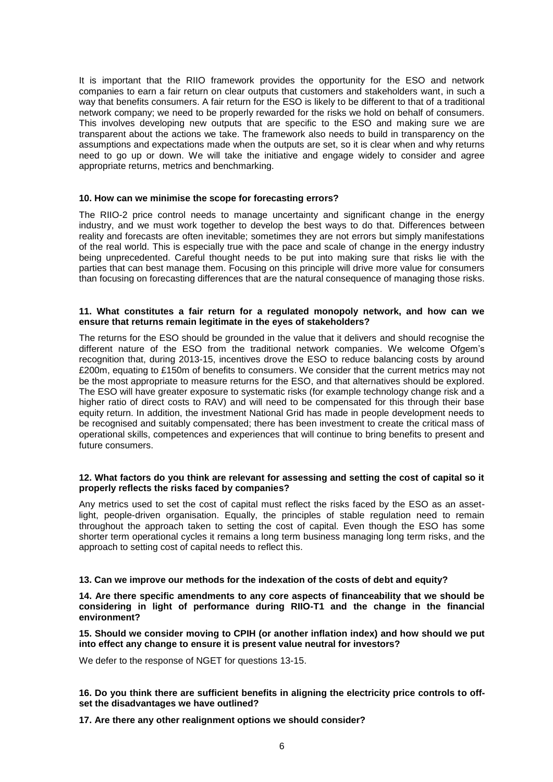It is important that the RIIO framework provides the opportunity for the ESO and network companies to earn a fair return on clear outputs that customers and stakeholders want, in such a way that benefits consumers. A fair return for the ESO is likely to be different to that of a traditional network company; we need to be properly rewarded for the risks we hold on behalf of consumers. This involves developing new outputs that are specific to the ESO and making sure we are transparent about the actions we take. The framework also needs to build in transparency on the assumptions and expectations made when the outputs are set, so it is clear when and why returns need to go up or down. We will take the initiative and engage widely to consider and agree appropriate returns, metrics and benchmarking.

## **10. How can we minimise the scope for forecasting errors?**

The RIIO-2 price control needs to manage uncertainty and significant change in the energy industry, and we must work together to develop the best ways to do that. Differences between reality and forecasts are often inevitable; sometimes they are not errors but simply manifestations of the real world. This is especially true with the pace and scale of change in the energy industry being unprecedented. Careful thought needs to be put into making sure that risks lie with the parties that can best manage them. Focusing on this principle will drive more value for consumers than focusing on forecasting differences that are the natural consequence of managing those risks.

### **11. What constitutes a fair return for a regulated monopoly network, and how can we ensure that returns remain legitimate in the eyes of stakeholders?**

The returns for the ESO should be grounded in the value that it delivers and should recognise the different nature of the ESO from the traditional network companies. We welcome Ofgem's recognition that, during 2013-15, incentives drove the ESO to reduce balancing costs by around £200m, equating to £150m of benefits to consumers. We consider that the current metrics may not be the most appropriate to measure returns for the ESO, and that alternatives should be explored. The ESO will have greater exposure to systematic risks (for example technology change risk and a higher ratio of direct costs to RAV) and will need to be compensated for this through their base equity return. In addition, the investment National Grid has made in people development needs to be recognised and suitably compensated; there has been investment to create the critical mass of operational skills, competences and experiences that will continue to bring benefits to present and future consumers.

# **12. What factors do you think are relevant for assessing and setting the cost of capital so it properly reflects the risks faced by companies?**

Any metrics used to set the cost of capital must reflect the risks faced by the ESO as an assetlight, people-driven organisation. Equally, the principles of stable regulation need to remain throughout the approach taken to setting the cost of capital. Even though the ESO has some shorter term operational cycles it remains a long term business managing long term risks, and the approach to setting cost of capital needs to reflect this.

## **13. Can we improve our methods for the indexation of the costs of debt and equity?**

**14. Are there specific amendments to any core aspects of financeability that we should be considering in light of performance during RIIO-T1 and the change in the financial environment?**

**15. Should we consider moving to CPIH (or another inflation index) and how should we put into effect any change to ensure it is present value neutral for investors?**

We defer to the response of NGET for questions 13-15.

# **16. Do you think there are sufficient benefits in aligning the electricity price controls to offset the disadvantages we have outlined?**

## **17. Are there any other realignment options we should consider?**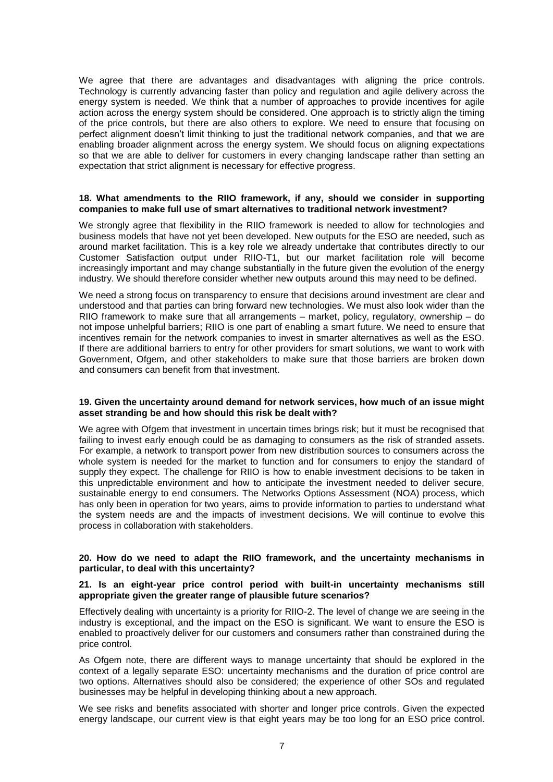We agree that there are advantages and disadvantages with aligning the price controls. Technology is currently advancing faster than policy and regulation and agile delivery across the energy system is needed. We think that a number of approaches to provide incentives for agile action across the energy system should be considered. One approach is to strictly align the timing of the price controls, but there are also others to explore. We need to ensure that focusing on perfect alignment doesn't limit thinking to just the traditional network companies, and that we are enabling broader alignment across the energy system. We should focus on aligning expectations so that we are able to deliver for customers in every changing landscape rather than setting an expectation that strict alignment is necessary for effective progress.

### **18. What amendments to the RIIO framework, if any, should we consider in supporting companies to make full use of smart alternatives to traditional network investment?**

We strongly agree that flexibility in the RIIO framework is needed to allow for technologies and business models that have not yet been developed. New outputs for the ESO are needed, such as around market facilitation. This is a key role we already undertake that contributes directly to our Customer Satisfaction output under RIIO-T1, but our market facilitation role will become increasingly important and may change substantially in the future given the evolution of the energy industry. We should therefore consider whether new outputs around this may need to be defined.

We need a strong focus on transparency to ensure that decisions around investment are clear and understood and that parties can bring forward new technologies. We must also look wider than the RIIO framework to make sure that all arrangements – market, policy, regulatory, ownership – do not impose unhelpful barriers; RIIO is one part of enabling a smart future. We need to ensure that incentives remain for the network companies to invest in smarter alternatives as well as the ESO. If there are additional barriers to entry for other providers for smart solutions, we want to work with Government, Ofgem, and other stakeholders to make sure that those barriers are broken down and consumers can benefit from that investment.

#### **19. Given the uncertainty around demand for network services, how much of an issue might asset stranding be and how should this risk be dealt with?**

We agree with Ofgem that investment in uncertain times brings risk; but it must be recognised that failing to invest early enough could be as damaging to consumers as the risk of stranded assets. For example, a network to transport power from new distribution sources to consumers across the whole system is needed for the market to function and for consumers to enjoy the standard of supply they expect. The challenge for RIIO is how to enable investment decisions to be taken in this unpredictable environment and how to anticipate the investment needed to deliver secure, sustainable energy to end consumers. The Networks Options Assessment (NOA) process, which has only been in operation for two years, aims to provide information to parties to understand what the system needs are and the impacts of investment decisions. We will continue to evolve this process in collaboration with stakeholders.

#### **20. How do we need to adapt the RIIO framework, and the uncertainty mechanisms in particular, to deal with this uncertainty?**

# **21. Is an eight-year price control period with built-in uncertainty mechanisms still appropriate given the greater range of plausible future scenarios?**

Effectively dealing with uncertainty is a priority for RIIO-2. The level of change we are seeing in the industry is exceptional, and the impact on the ESO is significant. We want to ensure the ESO is enabled to proactively deliver for our customers and consumers rather than constrained during the price control.

As Ofgem note, there are different ways to manage uncertainty that should be explored in the context of a legally separate ESO: uncertainty mechanisms and the duration of price control are two options. Alternatives should also be considered; the experience of other SOs and regulated businesses may be helpful in developing thinking about a new approach.

We see risks and benefits associated with shorter and longer price controls. Given the expected energy landscape, our current view is that eight years may be too long for an ESO price control.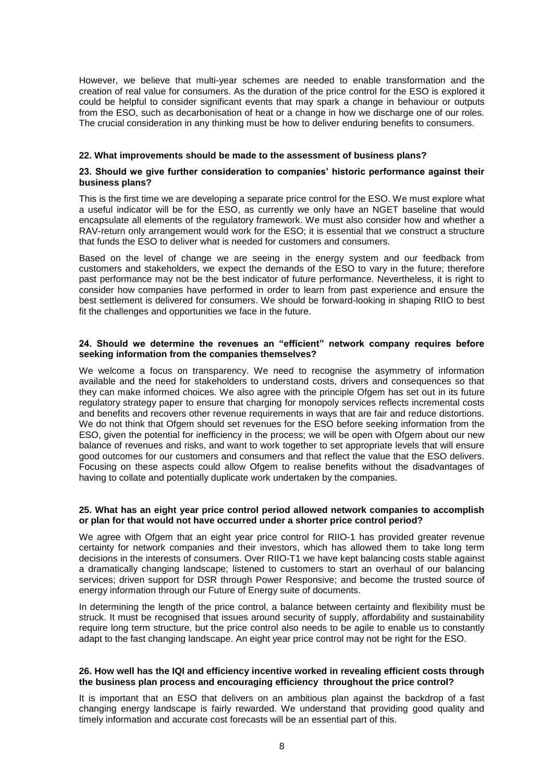However, we believe that multi-year schemes are needed to enable transformation and the creation of real value for consumers. As the duration of the price control for the ESO is explored it could be helpful to consider significant events that may spark a change in behaviour or outputs from the ESO, such as decarbonisation of heat or a change in how we discharge one of our roles. The crucial consideration in any thinking must be how to deliver enduring benefits to consumers.

## **22. What improvements should be made to the assessment of business plans?**

## **23. Should we give further consideration to companies' historic performance against their business plans?**

This is the first time we are developing a separate price control for the ESO. We must explore what a useful indicator will be for the ESO, as currently we only have an NGET baseline that would encapsulate all elements of the regulatory framework. We must also consider how and whether a RAV-return only arrangement would work for the ESO; it is essential that we construct a structure that funds the ESO to deliver what is needed for customers and consumers.

Based on the level of change we are seeing in the energy system and our feedback from customers and stakeholders, we expect the demands of the ESO to vary in the future; therefore past performance may not be the best indicator of future performance. Nevertheless, it is right to consider how companies have performed in order to learn from past experience and ensure the best settlement is delivered for consumers. We should be forward-looking in shaping RIIO to best fit the challenges and opportunities we face in the future.

### **24. Should we determine the revenues an "efficient" network company requires before seeking information from the companies themselves?**

We welcome a focus on transparency. We need to recognise the asymmetry of information available and the need for stakeholders to understand costs, drivers and consequences so that they can make informed choices. We also agree with the principle Ofgem has set out in its future regulatory strategy paper to ensure that charging for monopoly services reflects incremental costs and benefits and recovers other revenue requirements in ways that are fair and reduce distortions. We do not think that Ofgem should set revenues for the ESO before seeking information from the ESO, given the potential for inefficiency in the process; we will be open with Ofgem about our new balance of revenues and risks, and want to work together to set appropriate levels that will ensure good outcomes for our customers and consumers and that reflect the value that the ESO delivers. Focusing on these aspects could allow Ofgem to realise benefits without the disadvantages of having to collate and potentially duplicate work undertaken by the companies.

## **25. What has an eight year price control period allowed network companies to accomplish or plan for that would not have occurred under a shorter price control period?**

We agree with Ofgem that an eight year price control for RIIO-1 has provided greater revenue certainty for network companies and their investors, which has allowed them to take long term decisions in the interests of consumers. Over RIIO-T1 we have kept balancing costs stable against a dramatically changing landscape; listened to customers to start an overhaul of our balancing services; driven support for DSR through Power Responsive; and become the trusted source of energy information through our Future of Energy suite of documents.

In determining the length of the price control, a balance between certainty and flexibility must be struck. It must be recognised that issues around security of supply, affordability and sustainability require long term structure, but the price control also needs to be agile to enable us to constantly adapt to the fast changing landscape. An eight year price control may not be right for the ESO.

## **26. How well has the IQI and efficiency incentive worked in revealing efficient costs through the business plan process and encouraging efficiency throughout the price control?**

It is important that an ESO that delivers on an ambitious plan against the backdrop of a fast changing energy landscape is fairly rewarded. We understand that providing good quality and timely information and accurate cost forecasts will be an essential part of this.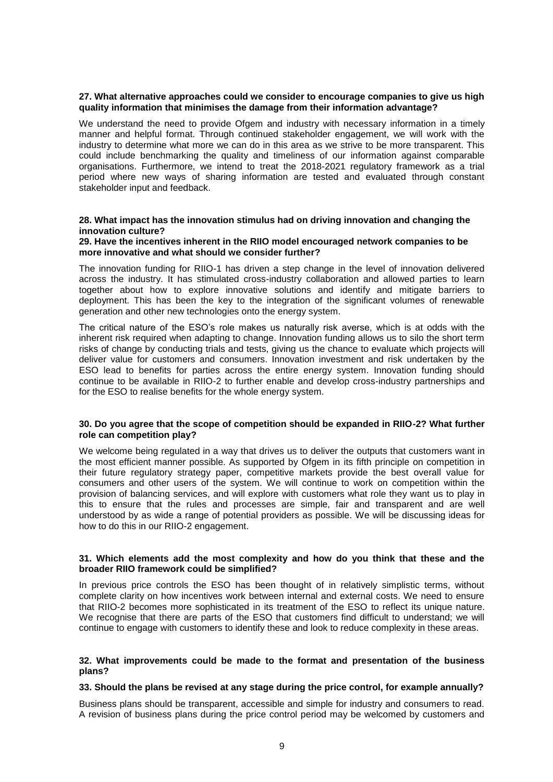## **27. What alternative approaches could we consider to encourage companies to give us high quality information that minimises the damage from their information advantage?**

We understand the need to provide Ofgem and industry with necessary information in a timely manner and helpful format. Through continued stakeholder engagement, we will work with the industry to determine what more we can do in this area as we strive to be more transparent. This could include benchmarking the quality and timeliness of our information against comparable organisations. Furthermore, we intend to treat the 2018-2021 regulatory framework as a trial period where new ways of sharing information are tested and evaluated through constant stakeholder input and feedback.

## **28. What impact has the innovation stimulus had on driving innovation and changing the innovation culture?**

## **29. Have the incentives inherent in the RIIO model encouraged network companies to be more innovative and what should we consider further?**

The innovation funding for RIIO-1 has driven a step change in the level of innovation delivered across the industry. It has stimulated cross-industry collaboration and allowed parties to learn together about how to explore innovative solutions and identify and mitigate barriers to deployment. This has been the key to the integration of the significant volumes of renewable generation and other new technologies onto the energy system.

The critical nature of the ESO's role makes us naturally risk averse, which is at odds with the inherent risk required when adapting to change. Innovation funding allows us to silo the short term risks of change by conducting trials and tests, giving us the chance to evaluate which projects will deliver value for customers and consumers. Innovation investment and risk undertaken by the ESO lead to benefits for parties across the entire energy system. Innovation funding should continue to be available in RIIO-2 to further enable and develop cross-industry partnerships and for the ESO to realise benefits for the whole energy system.

#### **30. Do you agree that the scope of competition should be expanded in RIIO-2? What further role can competition play?**

We welcome being regulated in a way that drives us to deliver the outputs that customers want in the most efficient manner possible. As supported by Ofgem in its fifth principle on competition in their future regulatory strategy paper, competitive markets provide the best overall value for consumers and other users of the system. We will continue to work on competition within the provision of balancing services, and will explore with customers what role they want us to play in this to ensure that the rules and processes are simple, fair and transparent and are well understood by as wide a range of potential providers as possible. We will be discussing ideas for how to do this in our RIIO-2 engagement.

## **31. Which elements add the most complexity and how do you think that these and the broader RIIO framework could be simplified?**

In previous price controls the ESO has been thought of in relatively simplistic terms, without complete clarity on how incentives work between internal and external costs. We need to ensure that RIIO-2 becomes more sophisticated in its treatment of the ESO to reflect its unique nature. We recognise that there are parts of the ESO that customers find difficult to understand; we will continue to engage with customers to identify these and look to reduce complexity in these areas.

# **32. What improvements could be made to the format and presentation of the business plans?**

## **33. Should the plans be revised at any stage during the price control, for example annually?**

Business plans should be transparent, accessible and simple for industry and consumers to read. A revision of business plans during the price control period may be welcomed by customers and